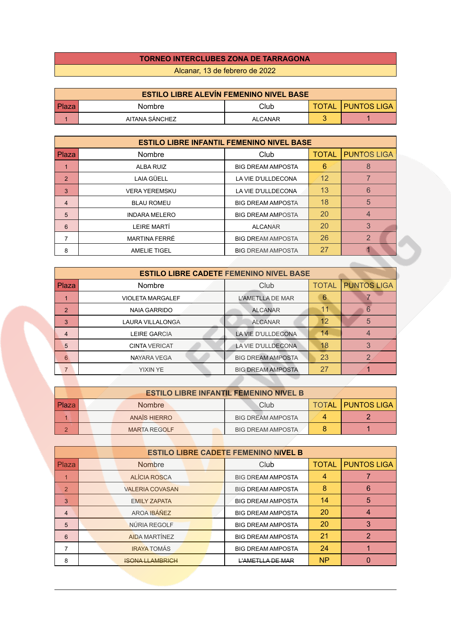## **TORNEO INTERCLUBES ZONA DE TARRAGONA**

Alcanar, 13 de febrero de 2022

| <b>ESTILO LIBRE ALEVÍN FEMENINO NIVEL BASE</b> |                |                |              |                      |  |  |
|------------------------------------------------|----------------|----------------|--------------|----------------------|--|--|
| Plaza                                          | Nombre         | Club           | <b>TOTAL</b> | <b>I PUNTOS LIGA</b> |  |  |
|                                                | AITANA SÁNCHEZ | <b>ALCANAR</b> |              |                      |  |  |

| <b>ESTILO LIBRE INFANTIL FEMENINO NIVEL BASE</b> |                      |                          |              |                    |  |
|--------------------------------------------------|----------------------|--------------------------|--------------|--------------------|--|
| Plaza                                            | Nombre               | Club                     | <b>TOTAL</b> | <b>PUNTOS LIGA</b> |  |
|                                                  | <b>ALBA RUIZ</b>     | <b>BIG DREAM AMPOSTA</b> | 6            | 8                  |  |
| 2                                                | <b>LAIA GÜELL</b>    | LA VIE D'ULLDECONA       | 12           |                    |  |
| 3                                                | <b>VERA YEREMSKU</b> | LA VIE D'ULLDECONA       | 13           | 6                  |  |
| 4                                                | <b>BLAU ROMEU</b>    | <b>BIG DREAM AMPOSTA</b> | 18           | 5                  |  |
| 5                                                | <b>INDARA MELERO</b> | <b>BIG DREAM AMPOSTA</b> | 20           | 4                  |  |
| 6                                                | LEIRE MARTÍ          | <b>ALCANAR</b>           | 20           | 3                  |  |
|                                                  | <b>MARTINA FERRÉ</b> | <b>BIG DREAM AMPOSTA</b> | 26           | 2                  |  |
| 8                                                | <b>AMELIE TIGEL</b>  | <b>BIG DREAM AMPOSTA</b> | 27           |                    |  |

| <b>ESTILO LIBRE CADETE FEMENINO NIVEL BASE</b> |                         |                          |              |                    |  |
|------------------------------------------------|-------------------------|--------------------------|--------------|--------------------|--|
| Plaza                                          | <b>Nombre</b>           | Club                     | <b>TOTAL</b> | <b>PUNTOS LIGA</b> |  |
|                                                | <b>VIOLETA MARGALEF</b> | <b>L'AMETLLA DE MAR</b>  | 6            |                    |  |
| $\overline{2}$                                 | <b>NAIA GARRIDO</b>     | <b>ALCANAR</b>           |              | 6                  |  |
| 3                                              | <b>LAURA VILLALONGA</b> | <b>ALCANAR</b>           | 12           | 5                  |  |
| $\overline{4}$                                 | <b>LEIRE GARCIA</b>     | LA VIE D'ULLDECONA       | 14           |                    |  |
| 5                                              | <b>CINTA VERICAT</b>    | LA VIE D'ULLDECONA       | 18           | 3                  |  |
| 6                                              | <b>NAYARA VEGA</b>      | <b>BIG DREAM AMPOSTA</b> | 23           |                    |  |
| $\overline{7}$                                 | <b>YIXIN YE</b>         | <b>BIG DREAM AMPOSTA</b> | 27           |                    |  |

| <b>ESTILO LIBRE INFANTIL FEMENINO NIVEL B</b> |  |  |                     |  |                          |                            |
|-----------------------------------------------|--|--|---------------------|--|--------------------------|----------------------------|
| Plaza                                         |  |  | <b>Nombre</b>       |  | Club                     | <b>TOTAL   PUNTOS LIGA</b> |
|                                               |  |  | ANAÏS HIERRO        |  | <b>BIG DREAM AMPOSTA</b> |                            |
|                                               |  |  | <b>MARTA REGOLF</b> |  | <b>BIG DREAM AMPOSTA</b> |                            |

|                | <b>ESTILO LIBRE CADETE FEMENINO NIVEL B</b> |                        |                          |              |                    |
|----------------|---------------------------------------------|------------------------|--------------------------|--------------|--------------------|
| <b>Plaza</b>   |                                             | <b>Nombre</b>          | Club                     | <b>TOTAL</b> | <b>PUNTOS LIGA</b> |
|                |                                             | ALÍCIA ROSCA           | <b>BIG DREAM AMPOSTA</b> | 4            |                    |
| $\overline{2}$ |                                             | <b>VALERIA COVASAN</b> | <b>BIG DREAM AMPOSTA</b> | 8            | 6                  |
| 3              |                                             | <b>EMILY ZAPATA</b>    | <b>BIG DREAM AMPOSTA</b> | 14           | 5                  |
| $\overline{4}$ |                                             | AROA IBÁÑEZ            | <b>BIG DREAM AMPOSTA</b> | 20           |                    |
| 5              |                                             | NÚRIA REGOLF           | <b>BIG DREAM AMPOSTA</b> | 20           | 3                  |
| 6              |                                             | <b>AIDA MARTÍNEZ</b>   | <b>BIG DREAM AMPOSTA</b> | 21           | $\mathcal{P}$      |
| 7              |                                             | <b>IRAYA TOMÁS</b>     | <b>BIG DREAM AMPOSTA</b> | 24           |                    |
| 8              |                                             | <b>ISONA LLAMBRICH</b> | L'AMETLLA DE MAR         | <b>NP</b>    |                    |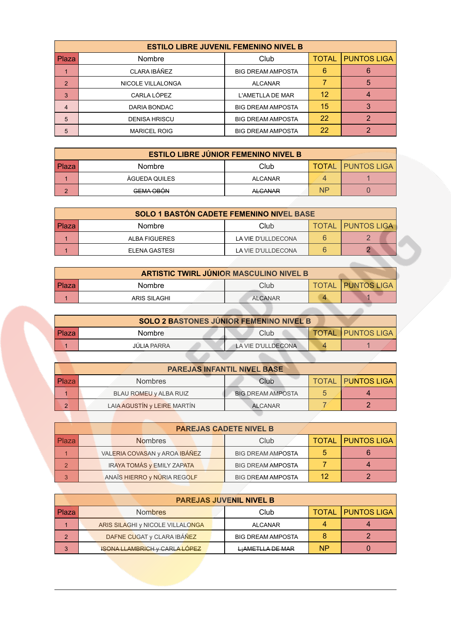| <b>ESTILO LIBRE JUVENIL FEMENINO NIVEL B</b> |                      |                          |       |                    |  |
|----------------------------------------------|----------------------|--------------------------|-------|--------------------|--|
| <b>Plaza</b>                                 | Nombre               | Club                     | TOTAL | <b>PUNTOS LIGA</b> |  |
|                                              | CLARA IBÁÑEZ         | <b>BIG DREAM AMPOSTA</b> | 6     |                    |  |
| $\overline{2}$                               | NICOLE VILLALONGA    | <b>ALCANAR</b>           |       | 5                  |  |
| 3                                            | CARLA LÓPEZ          | L'AMETLLA DE MAR         | 12    |                    |  |
| $\overline{4}$                               | DARIA BONDAC         | <b>BIG DREAM AMPOSTA</b> | 15    |                    |  |
| 5                                            | <b>DENISA HRISCU</b> | <b>BIG DREAM AMPOSTA</b> | 22    |                    |  |
| 5                                            | <b>MARICEL ROIG</b>  | <b>BIG DREAM AMPOSTA</b> | 22    |                    |  |

|              | <b>ESTILO LIBRE JÚNIOR FEMENINO NIVEL B</b> |                |           |                              |  |  |
|--------------|---------------------------------------------|----------------|-----------|------------------------------|--|--|
| <b>Plaza</b> | <b>Nombre</b>                               | Club           |           | <b>TOTAL   PUNTOS LIGA  </b> |  |  |
|              | <b>AGUEDA QUILES</b>                        | <b>ALCANAR</b> |           |                              |  |  |
| $\sqrt{2}$   | <b>GEMA OBÓN</b>                            | <b>ALCANAR</b> | <b>NP</b> |                              |  |  |

| <b>SOLO 1 BASTÓN CADETE FEMENINO NIVEL BASE</b> |               |                    |  |                            |  |
|-------------------------------------------------|---------------|--------------------|--|----------------------------|--|
| Plaza                                           | <b>Nombre</b> | Club               |  | <b>TOTAL   PUNTOS LIGA</b> |  |
|                                                 | ALBA FIGUERES | LA VIE D'ULLDECONA |  |                            |  |
|                                                 | ELENA GASTESI | LA VIE D'ULLDECONA |  |                            |  |

| <b>ARTISTIC TWIRL JÚNIOR MASCULINO NIVEL B</b> |                     |                |  |                          |  |
|------------------------------------------------|---------------------|----------------|--|--------------------------|--|
| Plaza                                          | <b>Nombre</b>       | Club           |  | <b>TOTAL PUNTOS LIGA</b> |  |
|                                                | <b>ARIS SILAGHI</b> | <b>ALCANAR</b> |  |                          |  |
|                                                |                     |                |  |                          |  |

| <b>SOLO 2 BASTONES JÚNIOR FEMENINO NIVEL B</b> |                    |                    |  |                            |  |
|------------------------------------------------|--------------------|--------------------|--|----------------------------|--|
| l Plaza                                        | <b>Nombre</b>      | Club               |  | <b>TOTAL   PUNTOS LIGA</b> |  |
|                                                | <b>JÚLIA PARRA</b> | LA VIE D'ULLDECONA |  |                            |  |
|                                                |                    |                    |  |                            |  |

| <b>PAREJAS INFANTIL NIVEL BASE</b> |                             |                          |  |                          |  |
|------------------------------------|-----------------------------|--------------------------|--|--------------------------|--|
| <b>Plaza</b>                       | <b>Nombres</b>              | Club                     |  | <b>TOTAL PUNTOS LIGA</b> |  |
|                                    | BLAU ROMEU y ALBA RUIZ      | <b>BIG DREAM AMPOSTA</b> |  |                          |  |
| റ                                  | LAIA AGUSTÍN y LEIRE MARTÍN | <b>ALCANAR</b>           |  |                          |  |

 $\overline{\phantom{a}}$ 

|                | <b>PAREJAS CADETE NIVEL B</b> |                                   |                          |  |                          |  |
|----------------|-------------------------------|-----------------------------------|--------------------------|--|--------------------------|--|
| l Plaza        |                               | <b>Nombres</b>                    | Club                     |  | <b>TOTAL PUNTOS LIGA</b> |  |
|                |                               | VALERIA COVASAN y AROA IBÁÑEZ     | <b>BIG DREAM AMPOSTA</b> |  |                          |  |
| $\overline{2}$ |                               | <b>IRAYA TOMÁS y EMILY ZAPATA</b> | <b>BIG DREAM AMPOSTA</b> |  |                          |  |
| 3              |                               | ANAÏS HIERRO y NÚRIA REGOLF       | <b>BIG DREAM AMPOSTA</b> |  |                          |  |

|         |                                      | <b>PAREJAS JUVENIL NIVEL B</b> |    |                            |
|---------|--------------------------------------|--------------------------------|----|----------------------------|
| l Plaza | <b>Nombres</b>                       | Club                           |    | <b>TOTAL   PUNTOS LIGA</b> |
|         | ARIS SILAGHI y NICOLE VILLALONGA     | <b>ALCANAR</b>                 |    |                            |
| 2       | DAFNE CUGAT y CLARA IBÁÑEZ           | <b>BIG DREAM AMPOSTA</b>       |    |                            |
| 3       | <b>ISONA LLAMBRIGH y CARLA LÓPEZ</b> | LiAMETLLA DE MAR               | ΝP |                            |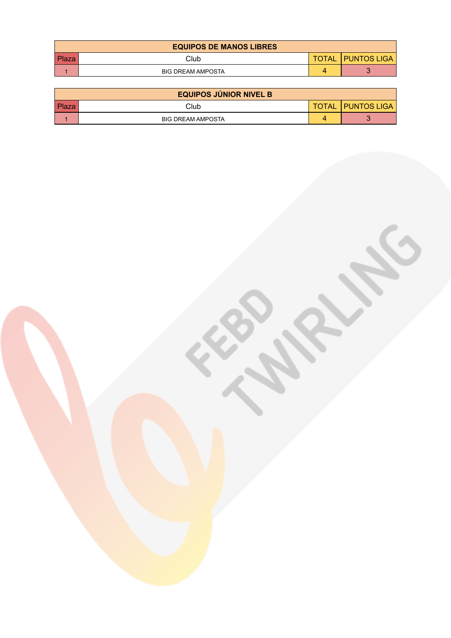|              | <b>EQUIPOS DE MANOS LIBRES</b> |              |                    |
|--------------|--------------------------------|--------------|--------------------|
| <b>Plaza</b> | Club                           | <b>TOTAL</b> | <b>PUNTOS LIGA</b> |
|              | <b>BIG DREAM AMPOSTA</b>       |              |                    |

|       | <b>EQUIPOS JÚNIOR NIVEL B</b> |              |                      |
|-------|-------------------------------|--------------|----------------------|
| Plaza | Club                          | <b>TOTAL</b> | <b>I PUNTOS LIGA</b> |
|       | <b>BIG DREAM AMPOSTA</b>      |              |                      |

**CABALLED**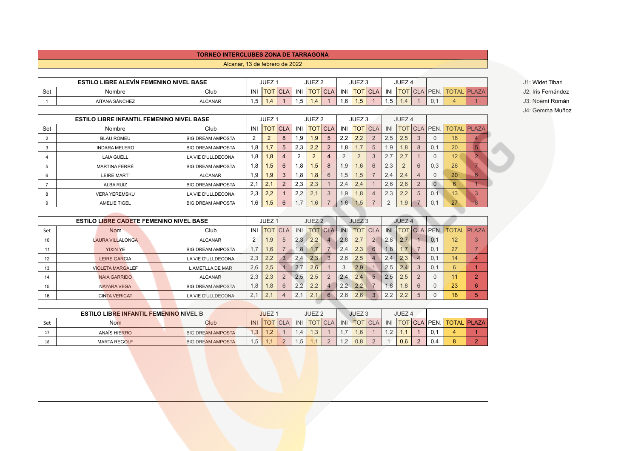## **TORNEO INTERCLUBES ZONA DE TARRAGONA**

Alcanar, 13 de febrero de 2022

|     | <b>ESTILO LIBRE ALEVIN FEMENINO NIVEL BASE</b> |                |      | <b>JUEZ</b> |                |     | JUEZ <sub>2</sub>     |     |     | $III \rightarrow \infty$<br>JUEZ J |     |      | JUEZ <sub>4</sub> |              |  | J1: Widet Tibari            |
|-----|------------------------------------------------|----------------|------|-------------|----------------|-----|-----------------------|-----|-----|------------------------------------|-----|------|-------------------|--------------|--|-----------------------------|
| Set | Nombre                                         | Club           | INI  | <b>TO</b>   | $\sim$<br>. UL | INI | $\cdot$ TOT<br>$\cup$ | CLA | INI | <b>TOT</b>                         | TCL | IN   | <b>TOT</b>        | <b>IPEN.</b> |  | J2: Iris Fernández          |
|     | AITANA SÁNCHEZ                                 | <b>ALCANAR</b> | ن. ا |             |                | . ب |                       |     | ∣.o | 1,5                                |     | ں, ا |                   |              |  | í Román<br>l3: Noemí<br>JU. |

J4: Gemma Muñoz

|     | <b>ESTILO LIBRE INFANTIL FEMENINO NIVEL BASE</b> |                          |     | JUEZ <sub>1</sub> |             |     | JUEZ <sub>2</sub> |                |     | JUEZ <sub>3</sub> |            |          | JUEZ <sub>4</sub> |                |                 |    |                    |
|-----|--------------------------------------------------|--------------------------|-----|-------------------|-------------|-----|-------------------|----------------|-----|-------------------|------------|----------|-------------------|----------------|-----------------|----|--------------------|
| Set | Nombre                                           | Club                     | INI | <b>TOT</b>        | <b>ICLA</b> | INI |                   | <b>TOT CLA</b> | INI | <b>TOT</b>        | <b>CLA</b> | INI      | <b>TOT</b>        |                | <b>CLA PEN.</b> |    | <b>TOTAL PLAZA</b> |
|     | <b>BLAU ROMEU</b>                                | <b>BIG DREAM AMPOSTA</b> | 2   | $\overline{2}$    | 8           | 1.9 | 1.9               | 5              | 2.2 | 2.2               |            | 2.5      | 2.5               | 3              |                 | 18 |                    |
|     | <b>INDARA MELERO</b>                             | <b>BIG DREAM AMPOSTA</b> | 1,8 |                   | 5           | 2.3 | 2.2               | $\overline{2}$ | 1.8 |                   | 5          | 1,9      | .8 <sub>1</sub>   | 8              | 0.1             | 20 |                    |
|     | <b>LAIA GÜELL</b>                                | LA VIE D'ULLDECONA       | 1,8 | 1.8               | 4           |     | $\Omega$<br>L     |                |     |                   |            | 2.7      | 2.7               |                |                 | 12 |                    |
|     | MARTINA FERRÉ                                    | <b>BIG DREAM AMPOSTA</b> | 1,8 | 1.5               | 6           | 1.8 | 1.5               | 8              | 1.9 | 1.6               | 6          | 2.3      |                   | 6              | 0.3             | 26 |                    |
|     | LEIRE MARTÍ                                      | <b>ALCANAR</b>           | 1,9 | 1.9               | 3           | 1,8 | 1.8               | 6              | 1.5 | .5                |            | 2.4      | $\Omega$<br>2.4   |                |                 | 20 | 6                  |
|     | <b>ALBA RUIZ</b>                                 | <b>BIG DREAM AMPOSTA</b> | 2,1 | 2.7               | C           | 2.3 | 2.3               |                | 2.4 | 2.4               |            | 2.6      | 2.6               | $\overline{2}$ |                 | 6  |                    |
|     | <b>VERA YEREMSKU</b>                             | LA VIE D'ULLDECONA       | 2,3 | 2,2               |             | 2.2 | 2.1               | 3              | 1.9 | .8                |            | 2.3      | 2.2               | 5              | 0.1             | 13 |                    |
|     | <b>AMELIE TIGEL</b>                              | <b>BIG DREAM AMPOSTA</b> | 1,6 | (.5)              | 6           |     | 1.6               |                | 1.6 | .5                |            | $\Omega$ | .9                | ⇁              | 0.1             | 27 |                    |

|     | <b>ESTILO LIBRE CADETE FEMENINO NIVEL BASE</b> |                          |     | JUEZ <sub>1</sub> |                              |     | JUEZ <sub>2</sub> |                |     | JUEZ <sub>3</sub> |            |     | JUEZ <sub>4</sub> |                |                 |    |                    |
|-----|------------------------------------------------|--------------------------|-----|-------------------|------------------------------|-----|-------------------|----------------|-----|-------------------|------------|-----|-------------------|----------------|-----------------|----|--------------------|
| Set | <b>Nom</b>                                     | Club                     | INI | <b>TOT</b>        | $\overline{\phantom{a}}$ CLA | INI |                   | <b>TOT CLA</b> | INI | <b>TOT</b>        | <b>CLA</b> | INI | <b>TOT</b>        |                | <b>CLA PEN.</b> |    | <b>TOTAL PLAZA</b> |
| 10  | <b>LAURA VILLALONGA</b>                        | <b>ALCANAR</b>           | C.  | l .9              |                              | 2.3 | 2.2               | $\overline{4}$ | 2.8 | 2.7               |            | 2.8 | 2.7               |                | 0.1             | 12 |                    |
|     | <b>YIXIN YE</b>                                | <b>BIG DREAM AMPOSTA</b> | 1.7 | .6                |                              | 6.1 | 1,7               |                | 2.4 | 2.3               | 6          | 1,8 |                   |                | 0.1             | 27 |                    |
| 12  | <b>LEIRE GARCIA</b>                            | LA VIE D'ULLDECONA       | 2.3 | 2,2               |                              | 2.4 | 2.3               | 3              | 2.6 | 2.5               |            | 2.4 | 2.3               | $\overline{4}$ | 0.1             | 14 |                    |
| 13  | <b>VIOLETA MARGALEF</b>                        | L'AMETLLA DE MAR         | 2.6 | 2,5               |                              | 2.7 | 2.6               |                |     | 2.9               |            | 2.5 | 2.4               | 3              | 0.1             | 6  |                    |
| 14  | <b>NAIA GARRIDO</b>                            | ALCANAR                  | 2.3 | 2.3               |                              | 2.5 | 2.5               | $\overline{2}$ | 2.4 | 2.4               |            | 2.5 | 2.5               | $\overline{2}$ |                 |    |                    |
| 15  | <b>NAYARA VEGA</b>                             | <b>BIG DREAM AMPOSTA</b> | 1,8 | .8                |                              | 2.2 | 2.2               | $\overline{4}$ | 2.2 | 2.2               |            | 1.8 | 8.1               | 6              |                 | 23 | 6                  |
| 16  | <b>CINTA VERICAT</b>                           | LA VIE D'ULLDECONA       | 2.1 | $\Omega$<br>Ζ.    |                              | 2.1 | 2.1               | 6              | 2.6 | 2.6               |            | 2,2 | 2.2               | 5              |                 | 18 |                    |

|     | <b>ESTILO LIBRE INFANTIL FEMENINO NIVEL B</b> |                          |     | <b>JUEZ</b>      |     |                 | JUEZ <sub>2</sub> |            |     | JUEZ <sub>3</sub> |                   |            | <b>JUEZ4</b> |          |                     |                    |
|-----|-----------------------------------------------|--------------------------|-----|------------------|-----|-----------------|-------------------|------------|-----|-------------------|-------------------|------------|--------------|----------|---------------------|--------------------|
| Set | <b>Nom</b>                                    | Club                     | INI | TOT <sup>'</sup> | CLA | INI             |                   | <b>CLA</b> | INI | <b>TOT</b>        | $\overline{\cap}$ | INI        |              |          | <b>TOT CLA PEN.</b> | <b>TOTAL PLAZA</b> |
|     | ANAÏS HIERRO                                  | <b>BIG DREAM AMPOSTA</b> | 1.3 |                  |     |                 | د.                |            |     | 1.6               |                   | $\sqrt{2}$ |              |          | 0.1                 |                    |
| 18  | <b>MARTA REGOLF</b>                           | <b>BIG DREAM AMPOSTA</b> | .5  |                  |     | $\cdot$ $\circ$ |                   |            | ے . | 0.8               |                   |            | 0.6          | $\Omega$ | 0.4                 |                    |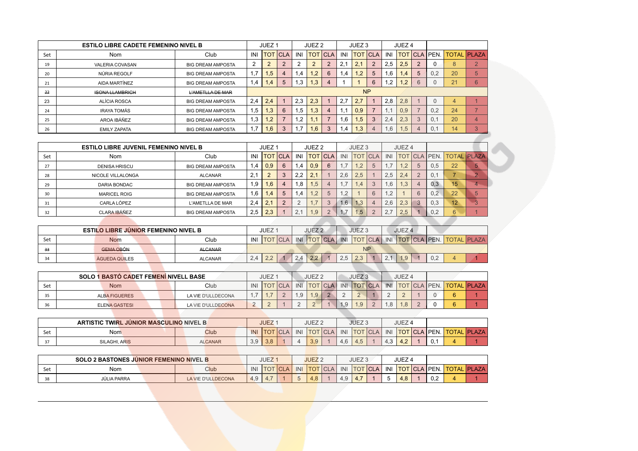|     | <b>ESTILO LIBRE CADETE FEMENINO NIVEL B</b> |                          |              | JUEZ <sub>1</sub> |                |             | JUEZ <sub>2</sub> |                |           | JUEZ <sub>3</sub> |                |     | JUEZ <sub>4</sub> |                |          |                                  |   |
|-----|---------------------------------------------|--------------------------|--------------|-------------------|----------------|-------------|-------------------|----------------|-----------|-------------------|----------------|-----|-------------------|----------------|----------|----------------------------------|---|
| Set | <b>Nom</b>                                  | Club                     | INI          | <b>TOT</b>        | <b>CLA</b>     | INI         |                   | <b>TOT CLA</b> | INI       |                   | <b>TOT CLA</b> | INI |                   |                |          | TOT   CLA   PEN.   TOTAL   PLAZA |   |
| 19  | VALERIA COVASAN                             | <b>BIG DREAM AMPOSTA</b> | 2            | $\overline{2}$    | $\overline{2}$ | $\sim$<br>∠ | C<br>∠            | 2              | 2.1       | 2.1               | 2              | 2.5 | 2.5               | $\overline{2}$ | $\Omega$ | 8                                |   |
| 20  | NÚRIA REGOLF                                | <b>BIG DREAM AMPOSTA</b> | $\mathbf{L}$ | 1.5               | 4              | i .4        | 1.2 <sub>2</sub>  | 6              | .4        | 1,2               |                | í.6 | 1.4               | 5              | 0.2      | 20                               |   |
| 21  | AIDA MARTÍNEZ                               | <b>BIG DREAM AMPOSTA</b> | 1,4          | $.4 \cdot$        | 5              | 3.          | 1.3 <sup>7</sup>  | 4              |           |                   | 6              | 2.  | 1.2               | 6              | $\Omega$ | 21                               | 6 |
| 22  | <b>ISONA LLAMBRICH</b>                      | L'AMETLLA DE MAR         |              |                   |                |             |                   |                |           | <b>NP</b>         |                |     |                   |                |          |                                  |   |
| 23  | ALÍCIA ROSCA                                | <b>BIG DREAM AMPOSTA</b> | 2.4          | 2,4               |                | 2.3         | 2.3               |                | 2.7       | 2.7               |                | 2.8 | 2.8               |                | $\Omega$ | 4                                |   |
| 24  | <b>IRAYA TOMÁS</b>                          | <b>BIG DREAM AMPOSTA</b> | 1,5          | 1,3               | 6              | .5          | 1.3               | $\overline{4}$ | $\cdot$ 1 | 0.9               |                | 1.1 | 0.9               |                | 0.2      | 24                               |   |
| 25  | AROA IBÁÑEZ                                 | <b>BIG DREAM AMPOSTA</b> | 1,3          | 1.2 <sub>2</sub>  | $\overline{ }$ | $\cdot$ .2  | 1.1               |                | .6        | 1,5               | 3              | 2.4 | 2.3               | 3              | 0.1      | 20                               |   |
| 26  | <b>EMILY ZAPATA</b>                         | <b>BIG DREAM AMPOSTA</b> |              | 1.6               | 3              |             | 1.6               | 3              | .4        | 1.3               |                | 6.6 | 1.5               | $\Delta$       | 0,1      | 14                               |   |

|     | <b>ESTILO LIBRE JUVENIL FEMENINO NIVEL B</b> |                          |                 | JUEZ <sub>1</sub> |             |                 | JUEZ <sub>2</sub> |                |            | JUEZ <sub>3</sub> |                |     | JUEZ <sub>4</sub> |                |                     |    |                    |
|-----|----------------------------------------------|--------------------------|-----------------|-------------------|-------------|-----------------|-------------------|----------------|------------|-------------------|----------------|-----|-------------------|----------------|---------------------|----|--------------------|
| Set | Nom                                          | Club                     | INI             | <b>TOT</b>        | <b>ICLA</b> | INI             |                   | <b>TOT CLA</b> | 1NI        | <b>TOT</b>        | <b>CLA</b>     | INI |                   |                | <b>TOT CLA PEN.</b> |    | <b>TOTAL PLAZA</b> |
| 27  | <b>DENISA HRISCU</b>                         | <b>BIG DREAM AMPOSTA</b> | .4              | 0.9               | 6           | $\overline{.4}$ | 0.9               | 6              |            | 1.2               | $\overline{5}$ | 1.1 | .2                | 5              | 0.5                 | 22 |                    |
| 28  | NICOLE VILLALONGA                            | <b>ALCANAR</b>           | ົ<br>$\epsilon$ | $\overline{2}$    |             | 2.2             | 2.1               |                | 2.6        | 2.5               |                | 2,5 | 2.4               | $\overline{2}$ | $\mathbf{0}$ .      |    |                    |
| 29  | DARIA BONDAC                                 | <b>BIG DREAM AMPOSTA</b> | .9              | 1.6               |             | .8              | .5                | 4              |            | 1,4               |                | 1,6 | .3 <sup>7</sup>   | 4              | 0.3                 | 15 |                    |
| 30  | <b>MARICEL ROIG</b>                          | <b>BIG DREAM AMPOSTA</b> | .6              | $\sqrt{4}$        | 5           | $\cdot$         | .2                | 5              | $\cdot$ .2 |                   | 6              | 1,2 |                   | 6              | 0.2                 | 22 | $\sqrt{5}$         |
| 31  | CARLA LÓPEZ                                  | L'AMETLLA DE MAR         | 2.4             | 2,1               |             |                 |                   | 3              | 1.6        | 1,3               |                | 2.6 | 2.3               | $\mathbf{3}$   | 0.3                 | 12 |                    |
| 32  | CLARA IBÁÑEZ                                 | <b>BIG DREAM AMPOSTA</b> | 2.5             | 2,3               |             | 2.1             | .9                |                |            | 1.5               |                | 2.7 | 2.5               |                | 0.2                 | 6  |                    |

|     | <b>ESTILO LIBRE JÚNIOR FEMENINO NIVEL B</b> |                |     | <b>JUEZ</b>           |               | JUEZ <sub>2</sub>             |                                |                        | JUEZ <sub>3</sub> |                            | JUEZ <sub>4</sub> |                  |                    |
|-----|---------------------------------------------|----------------|-----|-----------------------|---------------|-------------------------------|--------------------------------|------------------------|-------------------|----------------------------|-------------------|------------------|--------------------|
| Set | <b>Nom</b>                                  | Club           | INI | <b>TOT</b>            | INI           |                               | $\overline{\phantom{a}}$ $CLA$ | INI                    | <b>TOT CLA</b>    |                            |                   | INI TOTICLA PEN. | <b>TOTAL PLAZA</b> |
| 33  | <b>GEMA OBÓN</b>                            | <b>ALCANAR</b> |     |                       |               |                               |                                |                        | <b>NP</b>         |                            |                   |                  |                    |
| 34  | <b>ÀGUEDA QUILES</b>                        | <b>ALCANAR</b> | 2.4 | 22<br>$\sim$ . $\sim$ | $\sim$<br>2.4 | 22<br>$\epsilon$ . $\epsilon$ |                                | $\cap$ $\vdash$<br>2,5 | 2.3               | $\bigcap$ $\bigcap$<br>∠.⊣ | 1.9               | $\cap$ $\cap$    |                    |

|     | <b>SOLO 1 BASTO CADET FEMENI NIVELL BASE</b> |                                 | JUEZ <sub>1</sub> |        | JUEZ <sub>2</sub> |                  | JUEZ <sub>3</sub> |                 | JUEZ <sub>4</sub> |  |                                 |
|-----|----------------------------------------------|---------------------------------|-------------------|--------|-------------------|------------------|-------------------|-----------------|-------------------|--|---------------------------------|
| Set | <b>Nom</b>                                   | Club<br>INI                     | <b>TOT CLA</b>    | INI    | <b>TOTICLA</b>    |                  |                   | INI TOTICLA INI |                   |  | <b>TOT CLA PEN. TOTAL PLAZA</b> |
| 35  | <b>ALBA FIGUERES</b>                         | LA VIE D'ULLDECONA<br>$\cdot$ ( |                   | 1.9    | 1.9               |                  | $\sim$            | $\sim$          | $\sim$            |  |                                 |
| 36  | <b>ELENA GASTESI</b>                         | $\sim$<br>LA VIE D'ULLDECONA    |                   | $\sim$ |                   | $\overline{1.9}$ | 1.9               | 1.8             | 1.8               |  |                                 |
|     |                                              |                                 |                   |        |                   |                  |                   |                 |                   |  |                                 |

|     | <b>ARTISTIC TWIRL JUNIOR MASCULINO NIVEL B</b> |                |            | <b>JUEZ</b> |            |     | JUEZ <sub>2</sub> |                              |     | JUEZ <sub>3</sub> |            |     | <b>JUEZ</b>                     |                     |                    |
|-----|------------------------------------------------|----------------|------------|-------------|------------|-----|-------------------|------------------------------|-----|-------------------|------------|-----|---------------------------------|---------------------|--------------------|
| Set | <b>Nom</b>                                     | Club           | <b>INI</b> | <b>TOT</b>  | <b>CLA</b> | INI | TOT               | $\overline{C}$<br><b>CLA</b> | INI | <b>TOT</b>        | <b>CLA</b> | INI |                                 | <b>TOT CLA PEN.</b> | <b>TOTAL PLAZA</b> |
|     | SILAGHI, ARIS                                  | <b>ALCANAR</b> | 3,9        | 3,8         |            |     | 30<br>.ು          |                              | 4.6 | 4.5               |            | 4.3 | $\sim$<br>$\mathbf{H}$<br>т. д. | 0.1                 |                    |

| <b>SOLO 2 BASTONES JUNIOR FEMENINO NIVEL B</b> |                    |  |                    |  |     | <b>JUEZ</b> |        |     | JUEZ <sub>2</sub> |             |     | JUEZ <sub>3</sub> |     |     | JUEZ            |                     |             |
|------------------------------------------------|--------------------|--|--------------------|--|-----|-------------|--------|-----|-------------------|-------------|-----|-------------------|-----|-----|-----------------|---------------------|-------------|
| Set                                            | Nom                |  | Club               |  | INI |             | $\sim$ | INI | <b>ITOT</b>       | <b>ICLA</b> | INI | <b>TOT</b>        | CLA | INI |                 | <b>TOT CLA PEN.</b> | <b>LAZA</b> |
| 38                                             | <b>JÚLIA PARRA</b> |  | LA VIE D'ULLDECONA |  | 4,9 |             |        |     | 4.8               |             | 4.9 | 4.7               |     |     | $\Omega$<br>4.8 | 0.2                 |             |